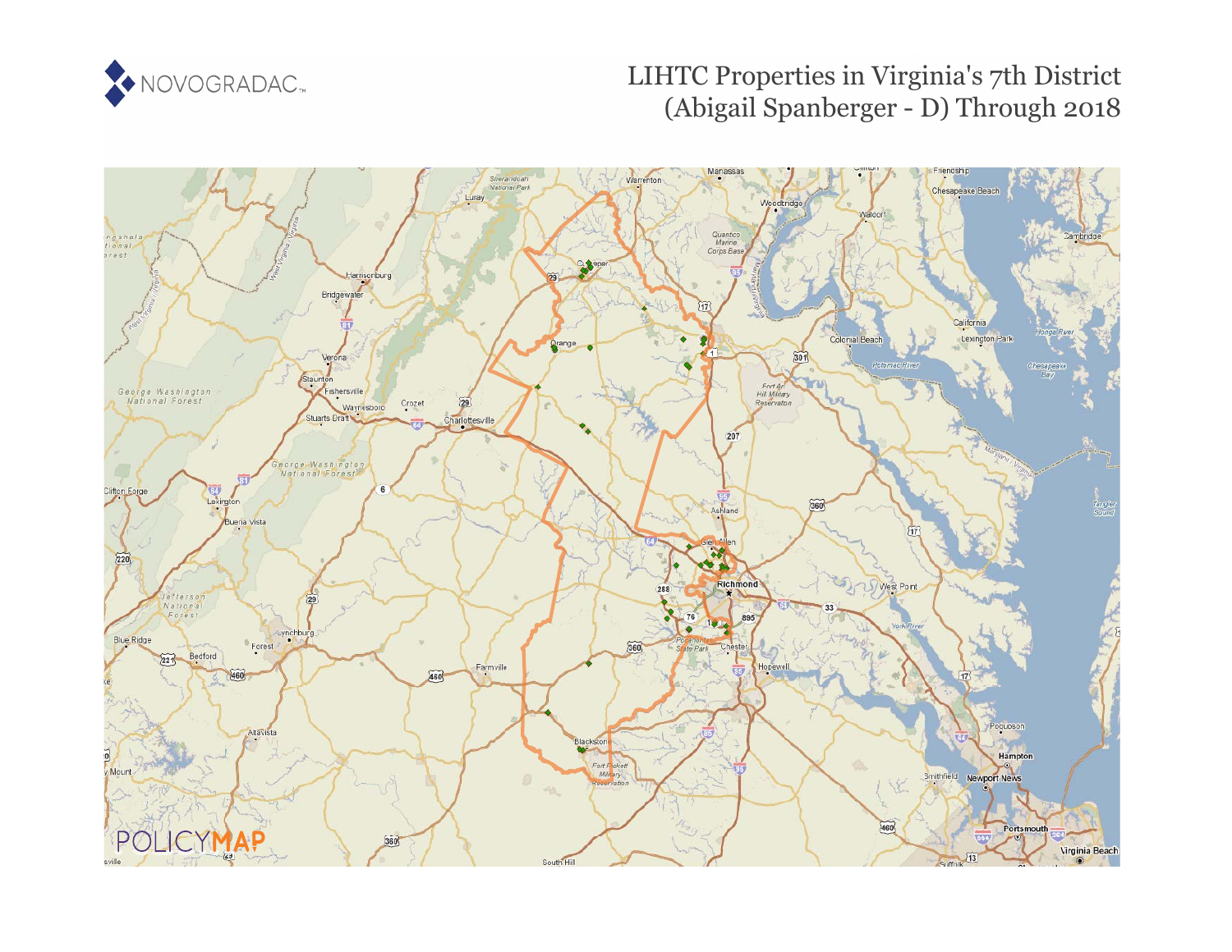

# LIHTC Properties in Virginia's 7th District (Abigail Spanberger - D) Through 2018

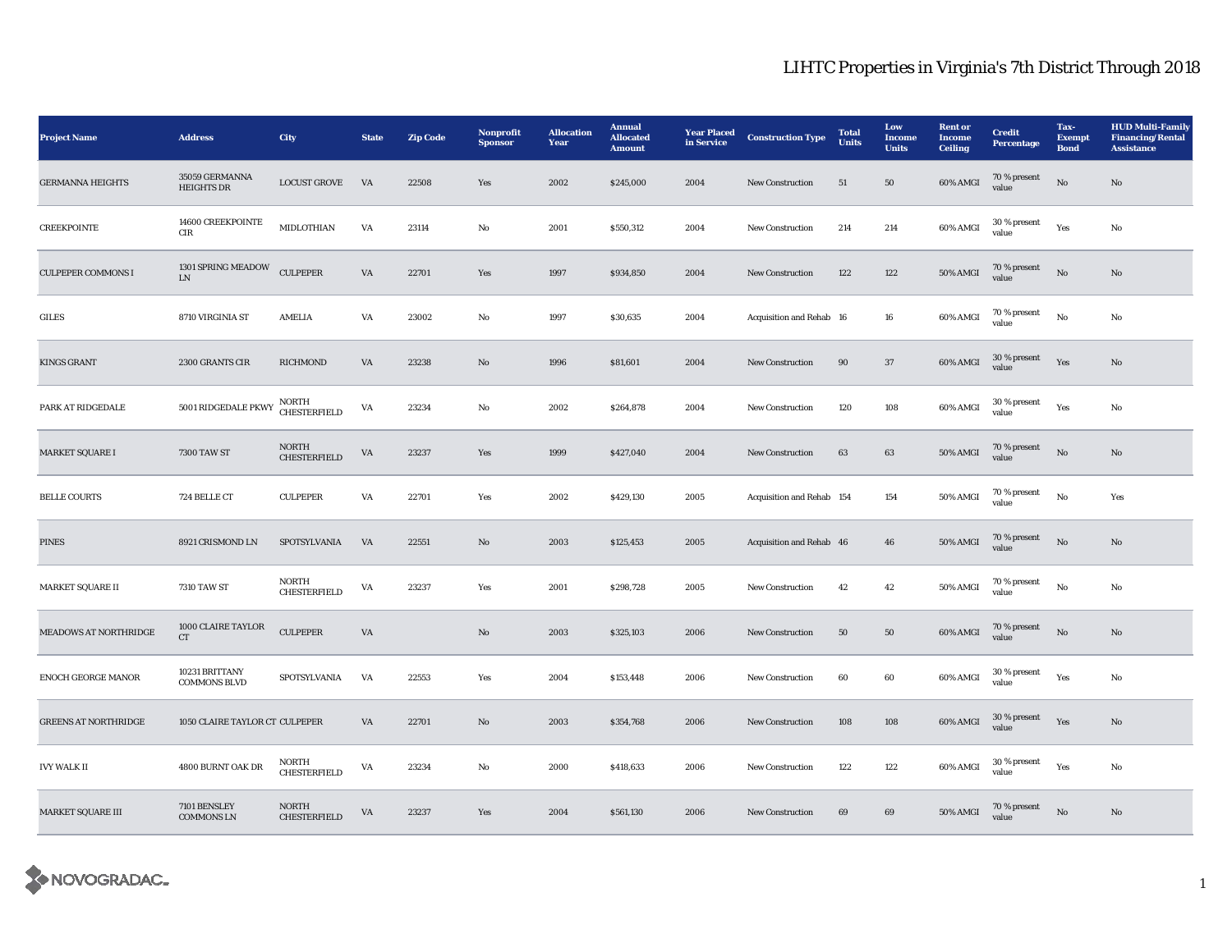| <b>Project Name</b>          | <b>Address</b>                        | <b>City</b>                         | <b>State</b>           | <b>Zip Code</b> | Nonprofit<br><b>Sponsor</b> | <b>Allocation</b><br>Year | <b>Annual</b><br><b>Allocated</b><br><b>Amount</b> | <b>Year Placed</b><br>in Service | <b>Construction Type</b>  | <b>Total</b><br><b>Units</b> | Low<br><b>Income</b><br><b>Units</b> | <b>Rent</b> or<br><b>Income</b><br><b>Ceiling</b> | <b>Credit</b><br>Percentage | Tax-<br><b>Exempt</b><br><b>Bond</b> | <b>HUD Multi-Family</b><br><b>Financing/Rental</b><br><b>Assistance</b> |
|------------------------------|---------------------------------------|-------------------------------------|------------------------|-----------------|-----------------------------|---------------------------|----------------------------------------------------|----------------------------------|---------------------------|------------------------------|--------------------------------------|---------------------------------------------------|-----------------------------|--------------------------------------|-------------------------------------------------------------------------|
| <b>GERMANNA HEIGHTS</b>      | 35059 GERMANNA<br><b>HEIGHTS DR</b>   | <b>LOCUST GROVE</b>                 | VA                     | 22508           | Yes                         | 2002                      | \$245,000                                          | 2004                             | New Construction          | 51                           | 50                                   | 60% AMGI                                          | 70 % present<br>value       | $_{\rm No}$                          | $\mathbf{N}\mathbf{o}$                                                  |
| <b>CREEKPOINTE</b>           | 14600 CREEKPOINTE<br>CIR              | MIDLOTHIAN                          | VA                     | 23114           | No                          | 2001                      | \$550,312                                          | 2004                             | New Construction          | 214                          | 214                                  | 60% AMGI                                          | 30 % present<br>value       | Yes                                  | No                                                                      |
| <b>CULPEPER COMMONS I</b>    | 1301 SPRING MEADOW<br>${\rm LN}$      | <b>CULPEPER</b>                     | VA                     | 22701           | Yes                         | 1997                      | \$934,850                                          | 2004                             | <b>New Construction</b>   | 122                          | 122                                  | 50% AMGI                                          | 70 % present<br>value       | $\mathbf{N}\mathbf{o}$               | No                                                                      |
| GILES                        | 8710 VIRGINIA ST                      | AMELIA                              | VA                     | 23002           | No                          | 1997                      | \$30,635                                           | 2004                             | Acquisition and Rehab 16  |                              | ${\bf 16}$                           | 60% AMGI                                          | 70 % present<br>value       | No                                   | No                                                                      |
| <b>KINGS GRANT</b>           | 2300 GRANTS CIR                       | <b>RICHMOND</b>                     | VA                     | 23238           | No                          | 1996                      | \$81,601                                           | 2004                             | <b>New Construction</b>   | 90                           | 37                                   | 60% AMGI                                          | 30 % present<br>value       | Yes                                  | No                                                                      |
| PARK AT RIDGEDALE            | 5001 RIDGEDALE PKWY                   | NORTH<br><b>CHESTERFIELD</b>        | VA                     | 23234           | No                          | 2002                      | \$264,878                                          | 2004                             | New Construction          | 120                          | 108                                  | 60% AMGI                                          | 30 % present<br>value       | Yes                                  | No                                                                      |
| <b>MARKET SQUARE I</b>       | <b>7300 TAW ST</b>                    | <b>NORTH</b><br><b>CHESTERFIELD</b> | VA                     | 23237           | Yes                         | 1999                      | \$427,040                                          | 2004                             | <b>New Construction</b>   | 63                           | 63                                   | <b>50% AMGI</b>                                   | 70 % present<br>value       | No                                   | $\mathbf{No}$                                                           |
| <b>BELLE COURTS</b>          | 724 BELLE CT                          | <b>CULPEPER</b>                     | VA                     | 22701           | Yes                         | 2002                      | \$429,130                                          | 2005                             | Acquisition and Rehab 154 |                              | 154                                  | <b>50% AMGI</b>                                   | 70 % present<br>value       | $_{\rm No}$                          | Yes                                                                     |
| PINES                        | 8921 CRISMOND LN                      | SPOTSYLVANIA                        | VA                     | 22551           | $\mathbf{N}\mathbf{o}$      | 2003                      | \$125,453                                          | 2005                             | Acquisition and Rehab 46  |                              | 46                                   | 50% AMGI                                          | 70 % present<br>value       | No                                   | No                                                                      |
| <b>MARKET SQUARE II</b>      | <b>7310 TAW ST</b>                    | <b>NORTH</b><br><b>CHESTERFIELD</b> | VA                     | 23237           | Yes                         | 2001                      | \$298,728                                          | 2005                             | <b>New Construction</b>   | 42                           | 42                                   | 50% AMGI                                          | 70 % present<br>value       | No                                   | No                                                                      |
| <b>MEADOWS AT NORTHRIDGE</b> | 1000 CLAIRE TAYLOR<br>CT              | <b>CULPEPER</b>                     | VA                     |                 | No                          | 2003                      | \$325,103                                          | 2006                             | New Construction          | 50                           | 50                                   | 60% AMGI                                          | 70 % present<br>value       | No                                   | No                                                                      |
| <b>ENOCH GEORGE MANOR</b>    | 10231 BRITTANY<br><b>COMMONS BLVD</b> | SPOTSYLVANIA                        | VA                     | 22553           | Yes                         | 2004                      | \$153,448                                          | 2006                             | <b>New Construction</b>   | 60                           | 60                                   | 60% AMGI                                          | 30 % present<br>value       | Yes                                  | No                                                                      |
| <b>GREENS AT NORTHRIDGE</b>  | 1050 CLAIRE TAYLOR CT CULPEPER        |                                     | $\mathbf{V}\mathbf{A}$ | 22701           | $\mathbf{No}$               | 2003                      | \$354,768                                          | 2006                             | New Construction          | 108                          | 108                                  | 60% AMGI                                          | 30 % present<br>value       | Yes                                  | No                                                                      |
| <b>IVY WALK II</b>           | 4800 BURNT OAK DR                     | NORTH<br><b>CHESTERFIELD</b>        | VA                     | 23234           | $\rm No$                    | 2000                      | \$418,633                                          | 2006                             | New Construction          | 122                          | 122                                  | 60% AMGI                                          | 30 % present<br>value       | Yes                                  | No                                                                      |
| <b>MARKET SQUARE III</b>     | 7101 BENSLEY<br><b>COMMONS LN</b>     | <b>NORTH</b><br><b>CHESTERFIELD</b> | VA                     | 23237           | Yes                         | 2004                      | \$561,130                                          | 2006                             | New Construction          | 69                           | 69                                   | <b>50% AMGI</b>                                   | 70 % present<br>value       | $_{\rm No}$                          | No                                                                      |

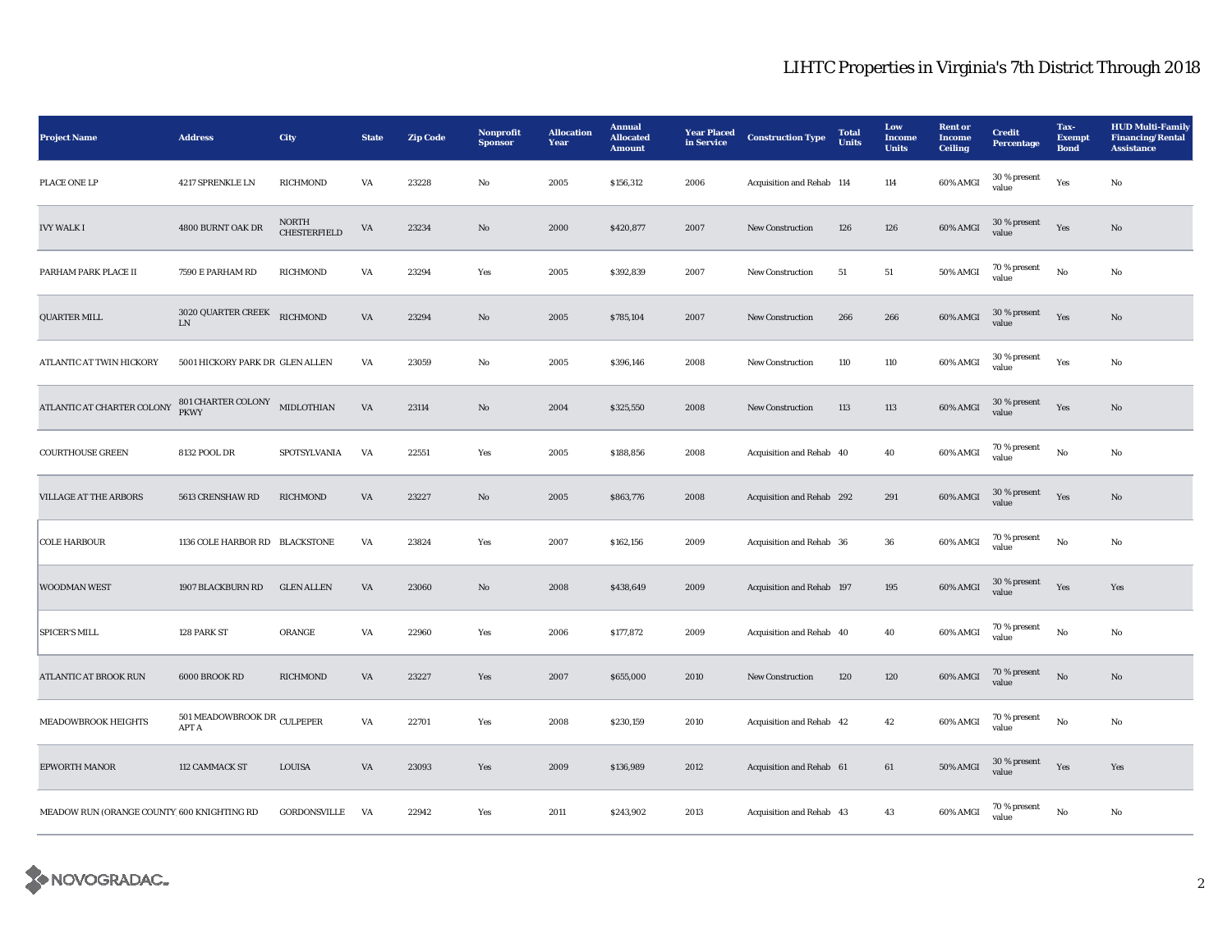| <b>Project Name</b>                         | <b>Address</b>                              | City                                | <b>State</b>           | <b>Zip Code</b> | Nonprofit<br><b>Sponsor</b> | <b>Allocation</b><br>Year | <b>Annual</b><br><b>Allocated</b><br><b>Amount</b> | <b>Year Placed</b><br>in Service | <b>Construction Type</b>  | <b>Total</b><br><b>Units</b> | Low<br><b>Income</b><br><b>Units</b> | <b>Rent or</b><br><b>Income</b><br><b>Ceiling</b> | <b>Credit</b><br>Percentage | Tax-<br><b>Exempt</b><br><b>Bond</b> | <b>HUD Multi-Family</b><br><b>Financing/Rental</b><br><b>Assistance</b> |
|---------------------------------------------|---------------------------------------------|-------------------------------------|------------------------|-----------------|-----------------------------|---------------------------|----------------------------------------------------|----------------------------------|---------------------------|------------------------------|--------------------------------------|---------------------------------------------------|-----------------------------|--------------------------------------|-------------------------------------------------------------------------|
| PLACE ONE LP                                | 4217 SPRENKLE LN                            | RICHMOND                            | VA                     | 23228           | $_{\rm No}$                 | 2005                      | \$156,312                                          | 2006                             | Acquisition and Rehab 114 |                              | 114                                  | 60% AMGI                                          | 30 % present<br>value       | Yes                                  | $_{\rm No}$                                                             |
| <b>IVY WALK I</b>                           | 4800 BURNT OAK DR                           | <b>NORTH</b><br><b>CHESTERFIELD</b> | $\mathbf{V}\mathbf{A}$ | 23234           | No                          | 2000                      | \$420,877                                          | 2007                             | New Construction          | 126                          | 126                                  | 60% AMGI                                          | 30 % present<br>value       | Yes                                  | $\mathbf{No}$                                                           |
| PARHAM PARK PLACE II                        | 7590 E PARHAM RD                            | RICHMOND                            | VA                     | 23294           | Yes                         | 2005                      | \$392,839                                          | 2007                             | New Construction          | $51\,$                       | $51\,$                               | 50% AMGI                                          | 70 % present<br>value       | No                                   | No                                                                      |
| <b>QUARTER MILL</b>                         | 3020 QUARTER CREEK<br>${\rm LN}$            | RICHMOND                            | VA                     | 23294           | No                          | 2005                      | \$785,104                                          | 2007                             | <b>New Construction</b>   | 266                          | 266                                  | 60% AMGI                                          | 30 % present<br>value       | Yes                                  | No                                                                      |
| ATLANTIC AT TWIN HICKORY                    | 5001 HICKORY PARK DR GLEN ALLEN             |                                     | VA                     | 23059           | No                          | 2005                      | \$396,146                                          | 2008                             | New Construction          | 110                          | 110                                  | 60% AMGI                                          | 30 % present<br>value       | Yes                                  | No                                                                      |
| ATLANTIC AT CHARTER COLONY                  | 801 CHARTER COLONY MIDLOTHIAN<br>PKWY       |                                     | VA                     | 23114           | $\mathbf{N}\mathbf{o}$      | 2004                      | \$325,550                                          | 2008                             | New Construction          | 113                          | $113\,$                              | 60% AMGI                                          | $30\,\%$ present<br>value   | Yes                                  | No                                                                      |
| <b>COURTHOUSE GREEN</b>                     | 8132 POOL DR                                | SPOTSYLVANIA                        | VA                     | 22551           | Yes                         | 2005                      | \$188,856                                          | 2008                             | Acquisition and Rehab 40  |                              | 40                                   | 60% AMGI                                          | 70 % present<br>value       | No                                   | No                                                                      |
| <b>VILLAGE AT THE ARBORS</b>                | 5613 CRENSHAW RD                            | RICHMOND                            | VA                     | 23227           | $\mathbf{N}\mathbf{o}$      | 2005                      | \$863,776                                          | 2008                             | Acquisition and Rehab 292 |                              | 291                                  | 60% AMGI                                          | 30 % present<br>value       | Yes                                  | No                                                                      |
| <b>COLE HARBOUR</b>                         | 1136 COLE HARBOR RD BLACKSTONE              |                                     | VA                     | 23824           | Yes                         | 2007                      | \$162,156                                          | 2009                             | Acquisition and Rehab 36  |                              | ${\bf 36}$                           | 60% AMGI                                          | 70 % present<br>value       | No                                   | No                                                                      |
| WOODMAN WEST                                | 1907 BLACKBURN RD                           | <b>GLEN ALLEN</b>                   | VA                     | 23060           | $\mathbf{N}\mathbf{o}$      | 2008                      | \$438,649                                          | 2009                             | Acquisition and Rehab 197 |                              | 195                                  | 60% AMGI                                          | 30 % present<br>value       | Yes                                  | Yes                                                                     |
| <b>SPICER'S MILL</b>                        | 128 PARK ST                                 | ORANGE                              | VA                     | 22960           | Yes                         | 2006                      | \$177,872                                          | 2009                             | Acquisition and Rehab 40  |                              | 40                                   | 60% AMGI                                          | 70 % present<br>value       | No                                   | No                                                                      |
| ATLANTIC AT BROOK RUN                       | 6000 BROOK RD                               | RICHMOND                            | VA                     | 23227           | Yes                         | 2007                      | \$655,000                                          | 2010                             | <b>New Construction</b>   | 120                          | 120                                  | 60% AMGI                                          | 70 % present<br>value       | No                                   | No                                                                      |
| MEADOWBROOK HEIGHTS                         | 501 MEADOWBROOK DR CULPEPER<br><b>APT A</b> |                                     | VA                     | 22701           | Yes                         | 2008                      | \$230,159                                          | 2010                             | Acquisition and Rehab 42  |                              | 42                                   | 60% AMGI                                          | 70 % present<br>value       | No                                   | No                                                                      |
| <b>EPWORTH MANOR</b>                        | 112 CAMMACK ST                              | <b>LOUISA</b>                       | VA                     | 23093           | Yes                         | 2009                      | \$136,989                                          | 2012                             | Acquisition and Rehab 61  |                              | 61                                   | <b>50% AMGI</b>                                   | 30 % present<br>value       | Yes                                  | Yes                                                                     |
| MEADOW RUN (ORANGE COUNTY) 600 KNIGHTING RD |                                             | GORDONSVILLE                        | VA                     | 22942           | Yes                         | 2011                      | \$243,902                                          | 2013                             | Acquisition and Rehab 43  |                              | 43                                   | 60% AMGI                                          | 70 % present<br>value       | No                                   | No                                                                      |

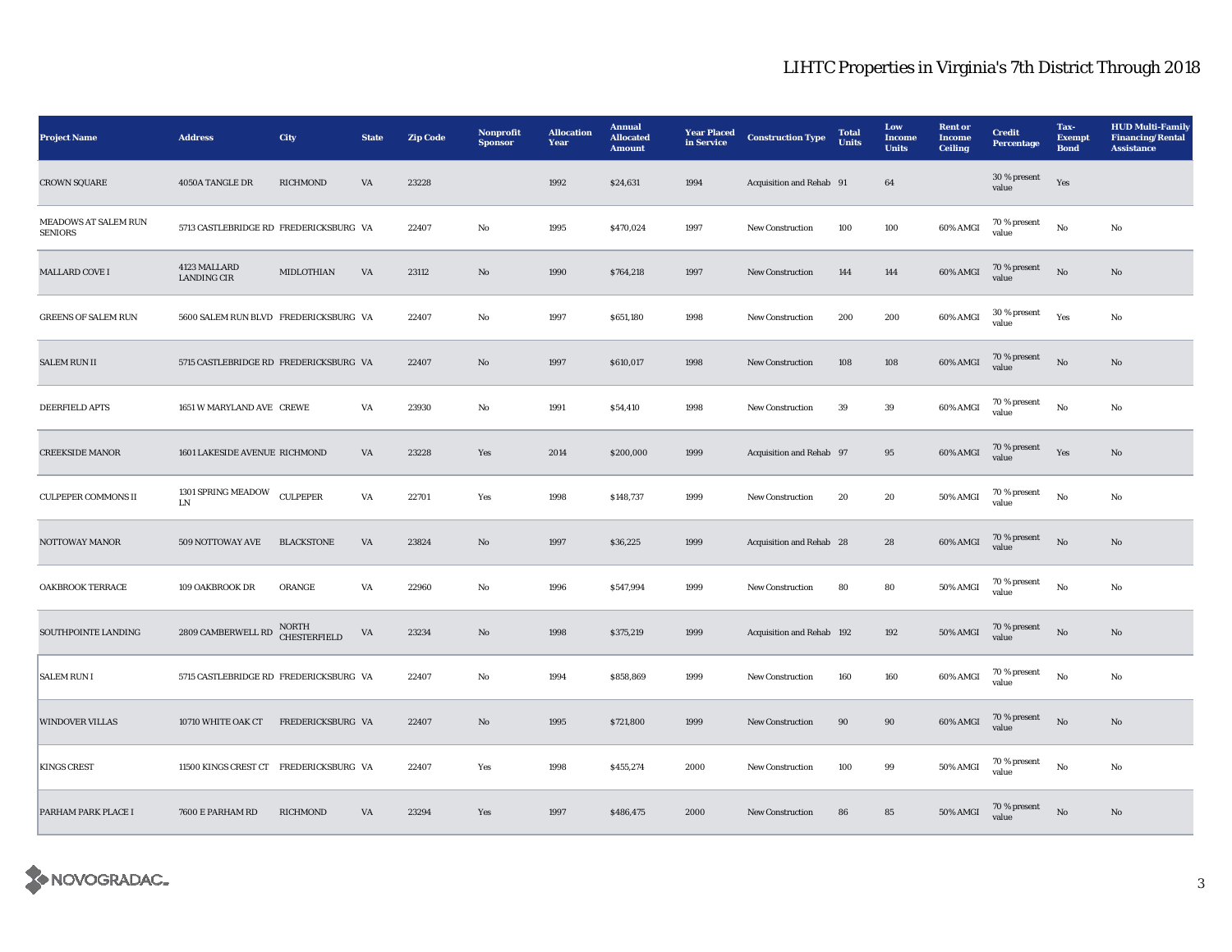| <b>Project Name</b>                    | <b>Address</b>                         | City                                | <b>State</b>           | <b>Zip Code</b> | Nonprofit<br><b>Sponsor</b> | <b>Allocation</b><br>Year | <b>Annual</b><br><b>Allocated</b><br><b>Amount</b> | <b>Year Placed</b><br>in Service | <b>Construction Type</b>  | <b>Total</b><br><b>Units</b> | Low<br>Income<br><b>Units</b> | <b>Rent</b> or<br><b>Income</b><br><b>Ceiling</b> | <b>Credit</b><br><b>Percentage</b> | Tax-<br><b>Exempt</b><br><b>Bond</b> | <b>HUD Multi-Family</b><br><b>Financing/Rental</b><br><b>Assistance</b> |
|----------------------------------------|----------------------------------------|-------------------------------------|------------------------|-----------------|-----------------------------|---------------------------|----------------------------------------------------|----------------------------------|---------------------------|------------------------------|-------------------------------|---------------------------------------------------|------------------------------------|--------------------------------------|-------------------------------------------------------------------------|
| <b>CROWN SQUARE</b>                    | 4050A TANGLE DR                        | RICHMOND                            | VA                     | 23228           |                             | 1992                      | \$24,631                                           | 1994                             | Acquisition and Rehab 91  |                              | 64                            |                                                   | 30 % present<br>value              | Yes                                  |                                                                         |
| MEADOWS AT SALEM RUN<br><b>SENIORS</b> | 5713 CASTLEBRIDGE RD FREDERICKSBURG VA |                                     |                        | 22407           | No                          | 1995                      | \$470,024                                          | 1997                             | <b>New Construction</b>   | 100                          | 100                           | 60% AMGI                                          | 70 % present<br>value              | No                                   | No                                                                      |
| <b>MALLARD COVE I</b>                  | 4123 MALLARD<br><b>LANDING CIR</b>     | MIDLOTHIAN                          | VA                     | 23112           | No                          | 1990                      | \$764,218                                          | 1997                             | <b>New Construction</b>   | 144                          | 144                           | 60% AMGI                                          | 70 % present<br>value              | No                                   | No                                                                      |
| <b>GREENS OF SALEM RUN</b>             | 5600 SALEM RUN BLVD FREDERICKSBURG VA  |                                     |                        | 22407           | No                          | 1997                      | \$651,180                                          | 1998                             | New Construction          | 200                          | 200                           | 60% AMGI                                          | 30 % present<br>value              | Yes                                  | No                                                                      |
| <b>SALEM RUN II</b>                    | 5715 CASTLEBRIDGE RD FREDERICKSBURG VA |                                     |                        | 22407           | $\mathbf{N}\mathbf{o}$      | 1997                      | \$610,017                                          | 1998                             | <b>New Construction</b>   | 108                          | 108                           | 60% AMGI                                          | 70 % present<br>value              | $\rm \bf No$                         | $\mathbf{No}$                                                           |
| <b>DEERFIELD APTS</b>                  | 1651 W MARYLAND AVE CREWE              |                                     | VA                     | 23930           | No                          | 1991                      | \$54,410                                           | 1998                             | <b>New Construction</b>   | 39                           | 39                            | 60% AMGI                                          | $70$ % present<br>value            | No                                   | No                                                                      |
| <b>CREEKSIDE MANOR</b>                 | 1601 LAKESIDE AVENUE RICHMOND          |                                     | VA                     | 23228           | Yes                         | 2014                      | \$200,000                                          | 1999                             | Acquisition and Rehab 97  |                              | $\bf{95}$                     | 60% AMGI                                          | 70 % present<br>value              | Yes                                  | $\mathbf{No}$                                                           |
| <b>CULPEPER COMMONS II</b>             | 1301 SPRING MEADOW<br>LN               | <b>CULPEPER</b>                     | VA                     | 22701           | Yes                         | 1998                      | \$148,737                                          | 1999                             | New Construction          | 20                           | 20                            | 50% AMGI                                          | 70 % present<br>value              | $_{\rm No}$                          | No                                                                      |
| NOTTOWAY MANOR                         | 509 NOTTOWAY AVE                       | <b>BLACKSTONE</b>                   | $\mathbf{V}\mathbf{A}$ | 23824           | $\mathbf{N}\mathbf{o}$      | 1997                      | \$36,225                                           | 1999                             | Acquisition and Rehab 28  |                              | 28                            | 60% AMGI                                          | 70 % present<br>value              | No                                   | $\mathbf{No}$                                                           |
| <b>OAKBROOK TERRACE</b>                | 109 OAKBROOK DR                        | ORANGE                              | VA                     | 22960           | No                          | 1996                      | \$547,994                                          | 1999                             | New Construction          | 80                           | 80                            | $50\%$ AMGI                                       | $70\,\%$ present<br>value          | No                                   | No                                                                      |
| SOUTHPOINTE LANDING                    | 2809 CAMBERWELL RD                     | <b>NORTH</b><br><b>CHESTERFIELD</b> | VA                     | 23234           | $\mathbf{N}\mathbf{o}$      | 1998                      | \$375,219                                          | 1999                             | Acquisition and Rehab 192 |                              | 192                           | 50% AMGI                                          | 70 % present<br>value              | $\rm \bf No$                         | $\mathbf{No}$                                                           |
| <b>SALEM RUN I</b>                     | 5715 CASTLEBRIDGE RD FREDERICKSBURG VA |                                     |                        | 22407           | No                          | 1994                      | \$858,869                                          | 1999                             | <b>New Construction</b>   | 160                          | 160                           | 60% AMGI                                          | 70 % present<br>value              | No                                   | No                                                                      |
| <b>WINDOVER VILLAS</b>                 | 10710 WHITE OAK CT                     | FREDERICKSBURG VA                   |                        | 22407           | No                          | 1995                      | \$721,800                                          | 1999                             | New Construction          | 90                           | 90                            | 60% AMGI                                          | $70\,\%$ present<br>value          | No                                   | No                                                                      |
| <b>KINGS CREST</b>                     | 11500 KINGS CREST CT FREDERICKSBURG VA |                                     |                        | 22407           | Yes                         | 1998                      | \$455,274                                          | 2000                             | <b>New Construction</b>   | 100                          | 99                            | 50% AMGI                                          | 70 % present<br>value              | $_{\rm No}$                          | No                                                                      |
| PARHAM PARK PLACE I                    | 7600 E PARHAM RD                       | RICHMOND                            | VA                     | 23294           | Yes                         | 1997                      | \$486,475                                          | 2000                             | <b>New Construction</b>   | 86                           | 85                            | 50% AMGI                                          | 70 % present<br>value              | $\mathbf{N}\mathbf{o}$               | No                                                                      |

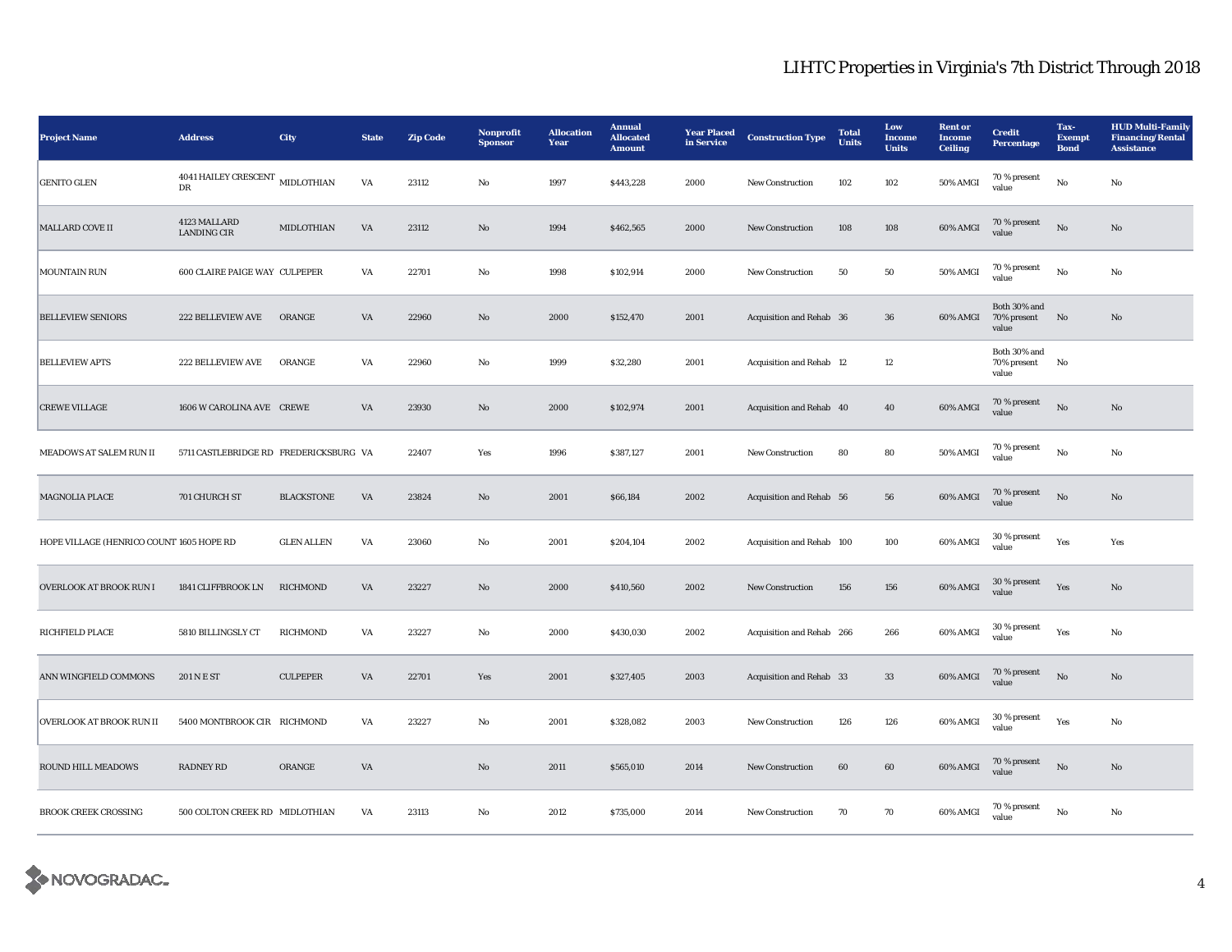| <b>Project Name</b>                      | <b>Address</b>                             | City              | <b>State</b> | <b>Zip Code</b> | Nonprofit<br><b>Sponsor</b> | <b>Allocation</b><br>Year | <b>Annual</b><br><b>Allocated</b><br><b>Amount</b> | <b>Year Placed</b><br>in Service | <b>Construction Type</b>  | <b>Total</b><br><b>Units</b> | Low<br><b>Income</b><br><b>Units</b> | <b>Rent or</b><br>Income<br><b>Ceiling</b> | <b>Credit</b><br>Percentage          | Tax-<br><b>Exempt</b><br><b>Bond</b> | <b>HUD Multi-Family</b><br><b>Financing/Rental</b><br><b>Assistance</b> |
|------------------------------------------|--------------------------------------------|-------------------|--------------|-----------------|-----------------------------|---------------------------|----------------------------------------------------|----------------------------------|---------------------------|------------------------------|--------------------------------------|--------------------------------------------|--------------------------------------|--------------------------------------|-------------------------------------------------------------------------|
| <b>GENITO GLEN</b>                       | 4041 HAILEY CRESCENT $\,$ MIDLOTHIAN<br>DR |                   | VA           | 23112           | No                          | 1997                      | \$443,228                                          | 2000                             | New Construction          | 102                          | 102                                  | 50% AMGI                                   | 70 % present<br>value                | No                                   | No                                                                      |
| MALLARD COVE II                          | 4123 MALLARD<br><b>LANDING CIR</b>         | MIDLOTHIAN        | VA           | 23112           | $\mathbf{N}\mathbf{o}$      | 1994                      | \$462,565                                          | 2000                             | New Construction          | 108                          | 108                                  | 60% AMGI                                   | 70 % present<br>value                | $\mathbf{N}\mathbf{o}$               | $\mathbf{N}\mathbf{o}$                                                  |
| MOUNTAIN RUN                             | 600 CLAIRE PAIGE WAY CULPEPER              |                   | VA           | 22701           | No                          | 1998                      | \$102,914                                          | 2000                             | New Construction          | 50                           | 50                                   | 50% AMGI                                   | 70 % present<br>value                | $_{\rm No}$                          | No                                                                      |
| <b>BELLEVIEW SENIORS</b>                 | <b>222 BELLEVIEW AVE</b>                   | ORANGE            | VA           | 22960           | $\mathbf{N}\mathbf{o}$      | 2000                      | \$152,470                                          | 2001                             | Acquisition and Rehab 36  |                              | 36                                   | 60% AMGI                                   | Both 30% and<br>70% present<br>value | No                                   | No                                                                      |
| <b>BELLEVIEW APTS</b>                    | 222 BELLEVIEW AVE                          | ORANGE            | VA           | 22960           | No                          | 1999                      | \$32,280                                           | 2001                             | Acquisition and Rehab 12  |                              | 12                                   |                                            | Both 30% and<br>70% present<br>value | No                                   |                                                                         |
| <b>CREWE VILLAGE</b>                     | 1606 W CAROLINA AVE CREWE                  |                   | VA           | 23930           | $\rm No$                    | 2000                      | \$102,974                                          | 2001                             | Acquisition and Rehab 40  |                              | 40                                   | 60% AMGI                                   | 70 % present<br>value                | $_{\rm No}$                          | $\rm No$                                                                |
| MEADOWS AT SALEM RUN II                  | 5711 CASTLEBRIDGE RD FREDERICKSBURG VA     |                   |              | 22407           | Yes                         | 1996                      | \$387,127                                          | 2001                             | New Construction          | 80                           | 80                                   | 50% AMGI                                   | 70 % present<br>value                | No                                   | No                                                                      |
| <b>MAGNOLIA PLACE</b>                    | 701 CHURCH ST                              | <b>BLACKSTONE</b> | VA           | 23824           | $\mathbf{No}$               | 2001                      | \$66,184                                           | 2002                             | Acquisition and Rehab 56  |                              | 56                                   | 60% AMGI                                   | 70 % present<br>value                | $\rm No$                             | $\mathbf{No}$                                                           |
| HOPE VILLAGE (HENRICO COUNT 1605 HOPE RD |                                            | <b>GLEN ALLEN</b> | VA           | 23060           | $_{\rm No}$                 | 2001                      | \$204,104                                          | 2002                             | Acquisition and Rehab 100 |                              | 100                                  | 60% AMGI                                   | 30 % present<br>value                | Yes                                  | Yes                                                                     |
| OVERLOOK AT BROOK RUN I                  | 1841 CLIFFBROOK LN                         | <b>RICHMOND</b>   | VA           | 23227           | No                          | 2000                      | \$410,560                                          | 2002                             | <b>New Construction</b>   | 156                          | 156                                  | 60% AMGI                                   | $30\,\%$ present<br>value            | Yes                                  | No                                                                      |
| <b>RICHFIELD PLACE</b>                   | 5810 BILLINGSLY CT                         | <b>RICHMOND</b>   | VA           | 23227           | No                          | 2000                      | \$430,030                                          | 2002                             | Acquisition and Rehab 266 |                              | 266                                  | 60% AMGI                                   | 30 % present<br>value                | Yes                                  | No                                                                      |
| ANN WINGFIELD COMMONS                    | 201 N E ST                                 | <b>CULPEPER</b>   | VA           | 22701           | Yes                         | 2001                      | \$327,405                                          | 2003                             | Acquisition and Rehab 33  |                              | 33                                   | 60% AMGI                                   | 70 % present<br>value                | No                                   | No                                                                      |
| <b>OVERLOOK AT BROOK RUN II</b>          | 5400 MONTBROOK CIR RICHMOND                |                   | VA           | 23227           | $_{\rm No}$                 | 2001                      | \$328,082                                          | 2003                             | New Construction          | 126                          | 126                                  | 60% AMGI                                   | 30 % present<br>value                | Yes                                  | No                                                                      |
| ROUND HILL MEADOWS                       | <b>RADNEY RD</b>                           | ORANGE            | VA           |                 | $\rm No$                    | 2011                      | \$565,010                                          | 2014                             | <b>New Construction</b>   | 60                           | 60                                   | 60% AMGI                                   | 70 % present<br>value                | $\rm \bf No$                         | $\mathbf{N}\mathbf{o}$                                                  |
| <b>BROOK CREEK CROSSING</b>              | 500 COLTON CREEK RD MIDLOTHIAN             |                   | VA           | 23113           | No                          | 2012                      | \$735,000                                          | 2014                             | <b>New Construction</b>   | 70                           | 70                                   | 60% AMGI                                   | 70 % present<br>value                | No                                   | No                                                                      |